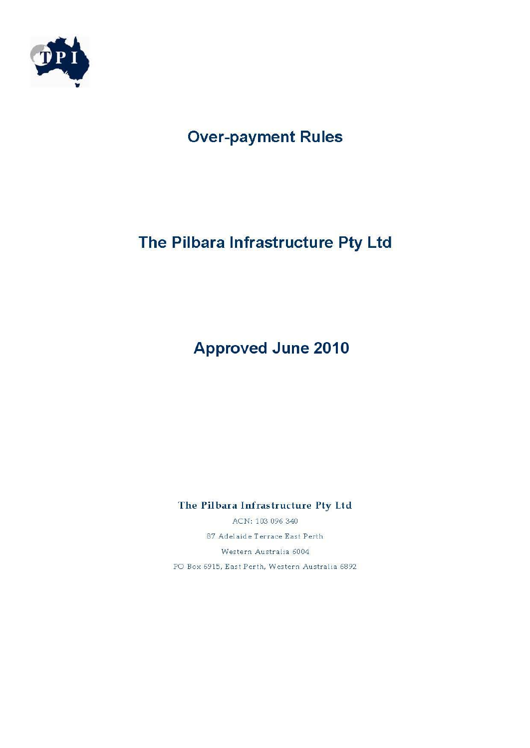

# **Over-payment Rules**

# The Pilbara Infrastructure Pty Ltd

# **Approved June 2010**

The Pilbara Infrastructure Pty Ltd

ACN: 103 096 340 87 Adelaide Terrace East Perth Western Australia 6004 PO Box 6915, East Perth, Western Australia 6892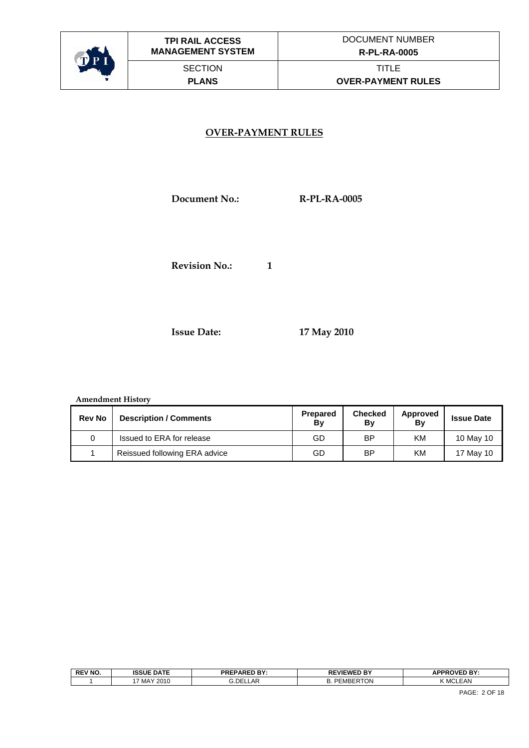

#### **OVER-PAYMENT RULES**

 **Document No.: R-PL-RA-0005** 

**Revision No.:** 1

 **Issue Date: 17 May 2010** 

#### **Amendment History**

| <b>Rev No</b> | <b>Description / Comments</b> | <b>Prepared</b><br>Bv | <b>Checked</b><br>Bv | Approved<br>By | <b>Issue Date</b> |
|---------------|-------------------------------|-----------------------|----------------------|----------------|-------------------|
|               | Issued to ERA for release     | GD                    | ΒP                   | ΚM             | 10 May 10         |
|               | Reissued following ERA advice | GD                    | ΒP                   | ΚM             | 17 May 10         |

| οı       | <b>REV NO.</b> | <b>ISSUE DATE</b> | <b>PREPARED BY:</b><br>. | <b>EVIEWED BY</b> | APPROVED BY<br>гu |
|----------|----------------|-------------------|--------------------------|-------------------|-------------------|
| <u>.</u> |                | MAY 2010          | LAF-<br>.DE!             | ™RTON<br>лн       | <b>MCLEAN</b>     |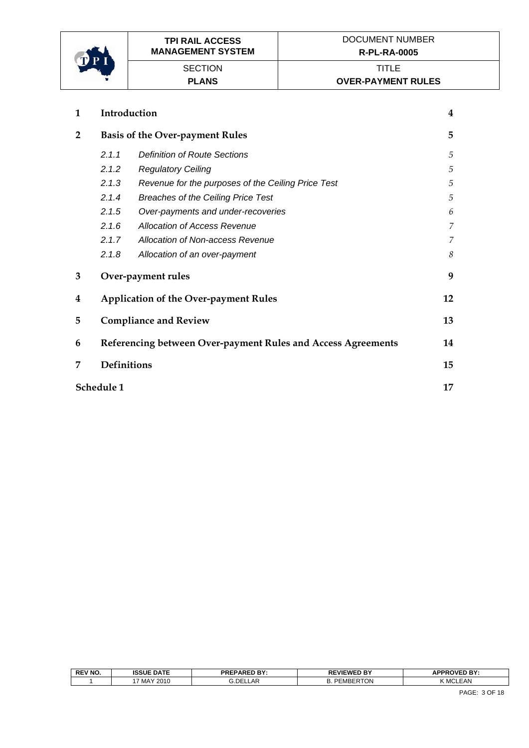

| 1              | Introduction       |                                                              |    |
|----------------|--------------------|--------------------------------------------------------------|----|
| $\overline{2}$ |                    | <b>Basis of the Over-payment Rules</b>                       | 5  |
|                | 2.1.1              | <b>Definition of Route Sections</b>                          | 5  |
|                | 2.1.2              | <b>Regulatory Ceiling</b>                                    | 5  |
|                | 2.1.3              | Revenue for the purposes of the Ceiling Price Test           | 5  |
|                | 2.1.4              | <b>Breaches of the Ceiling Price Test</b>                    | 5  |
|                | 2.1.5              | Over-payments and under-recoveries                           | 6  |
|                | 2.1.6              | Allocation of Access Revenue                                 | 7  |
|                | 2.1.7              | Allocation of Non-access Revenue                             | 7  |
|                | 2.1.8              | Allocation of an over-payment                                | 8  |
| 3              |                    | Over-payment rules                                           | 9  |
| 4              |                    | <b>Application of the Over-payment Rules</b>                 | 12 |
| 5              |                    | <b>Compliance and Review</b>                                 | 13 |
| 6              |                    | Referencing between Over-payment Rules and Access Agreements | 14 |
| 7              | <b>Definitions</b> |                                                              | 15 |
|                | Schedule 1         |                                                              | 17 |

| <b>REV NO.</b> | <b>ISSUE DATE</b> | <b>PREPARED BY:</b>    | <b>REVIEWED BY</b><br>◥∟   | <b>APPROVED BY</b> |
|----------------|-------------------|------------------------|----------------------------|--------------------|
|                | MAY 2010          | ∙DE:ذ<br>$\sim$<br>∟AԻ | <b>MBERTON</b><br>nг<br>.כ | . MCLEAN           |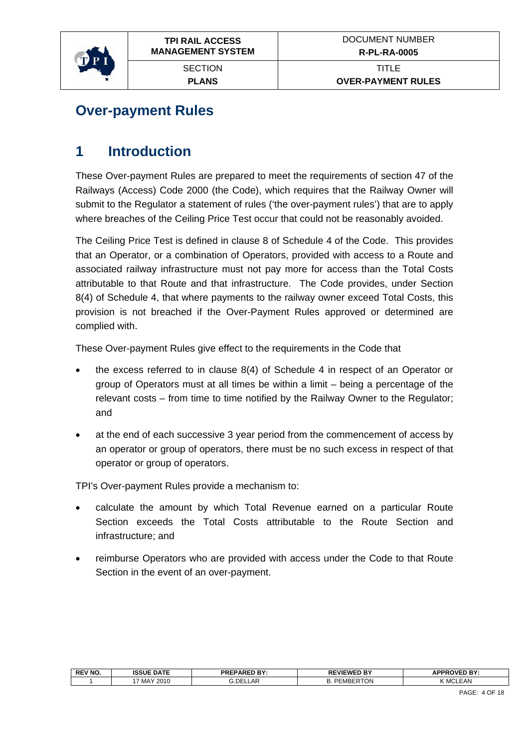<span id="page-3-0"></span>

## **Over-payment Rules**

## **1 Introduction**

These Over-payment Rules are prepared to meet the requirements of section 47 of the Railways (Access) Code 2000 (the Code), which requires that the Railway Owner will submit to the Regulator a statement of rules ('the over-payment rules') that are to apply where breaches of the Ceiling Price Test occur that could not be reasonably avoided.

The Ceiling Price Test is defined in clause 8 of Schedule 4 of the Code. This provides that an Operator, or a combination of Operators, provided with access to a Route and associated railway infrastructure must not pay more for access than the Total Costs attributable to that Route and that infrastructure. The Code provides, under Section 8(4) of Schedule 4, that where payments to the railway owner exceed Total Costs, this provision is not breached if the Over-Payment Rules approved or determined are complied with.

These Over-payment Rules give effect to the requirements in the Code that

- the excess referred to in clause 8(4) of Schedule 4 in respect of an Operator or group of Operators must at all times be within a limit – being a percentage of the relevant costs – from time to time notified by the Railway Owner to the Regulator; and
- at the end of each successive 3 year period from the commencement of access by an operator or group of operators, there must be no such excess in respect of that operator or group of operators.

TPI's Over-payment Rules provide a mechanism to:

- calculate the amount by which Total Revenue earned on a particular Route Section exceeds the Total Costs attributable to the Route Section and infrastructure; and
- reimburse Operators who are provided with access under the Code to that Route Section in the event of an over-payment.

| <b>REV NO.</b> | <b>ISSUE DATE</b> | <b>PREPARED BY:</b> | <b>REVIEWED BY</b>          | <b>APPROVED RY</b><br>ы.<br>- |
|----------------|-------------------|---------------------|-----------------------------|-------------------------------|
|                | MAY 2010          | :LLAR<br>3.DEI      | -<br>MRFR<br>RTON<br>.כ<br> | <b>FAM</b><br>MCL<br>=AN      |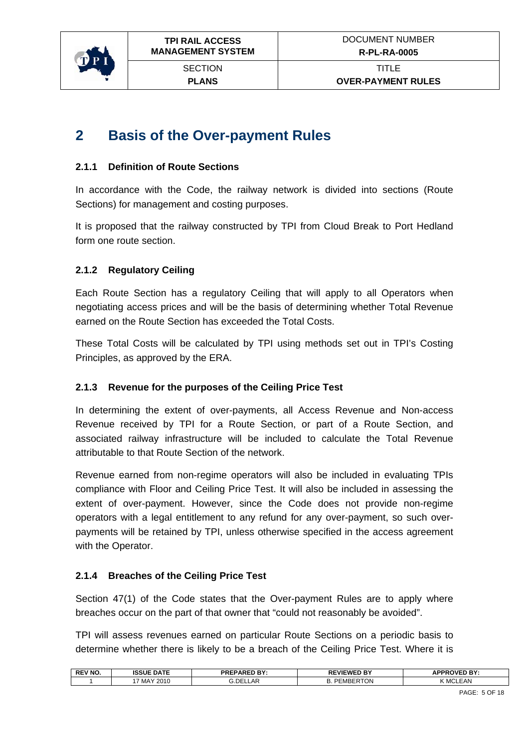<span id="page-4-0"></span>

**PLANS** 

## **2 Basis of the Over-payment Rules**

#### **2.1.1 Definition of Route Sections**

In accordance with the Code, the railway network is divided into sections (Route Sections) for management and costing purposes.

It is proposed that the railway constructed by TPI from Cloud Break to Port Hedland form one route section.

#### **2.1.2 Regulatory Ceiling**

Each Route Section has a regulatory Ceiling that will apply to all Operators when negotiating access prices and will be the basis of determining whether Total Revenue earned on the Route Section has exceeded the Total Costs.

These Total Costs will be calculated by TPI using methods set out in TPI's Costing Principles, as approved by the ERA.

#### **2.1.3 Revenue for the purposes of the Ceiling Price Test**

In determining the extent of over-payments, all Access Revenue and Non-access Revenue received by TPI for a Route Section, or part of a Route Section, and associated railway infrastructure will be included to calculate the Total Revenue attributable to that Route Section of the network.

Revenue earned from non-regime operators will also be included in evaluating TPIs compliance with Floor and Ceiling Price Test. It will also be included in assessing the extent of over-payment. However, since the Code does not provide non-regime operators with a legal entitlement to any refund for any over-payment, so such overpayments will be retained by TPI, unless otherwise specified in the access agreement with the Operator.

#### **2.1.4 Breaches of the Ceiling Price Test**

Section 47(1) of the Code states that the Over-payment Rules are to apply where breaches occur on the part of that owner that "could not reasonably be avoided".

TPI will assess revenues earned on particular Route Sections on a periodic basis to determine whether there is likely to be a breach of the Ceiling Price Test. Where it is

| <b>REV NO.</b> | <b>ISSUE DATE</b><br>ו שפפו | <b>PARED RY</b><br>DDCI<br>TNE. | <b>REVIEWED BY</b> | २ <b>OVED BY</b><br><b>IDDI</b> |
|----------------|-----------------------------|---------------------------------|--------------------|---------------------------------|
|                | 2010<br>MAY                 | <b>G.DELLAR</b>                 | PEMBERTON<br>ـر    | <b>EAN</b><br>$^{\prime}$ MCL.  |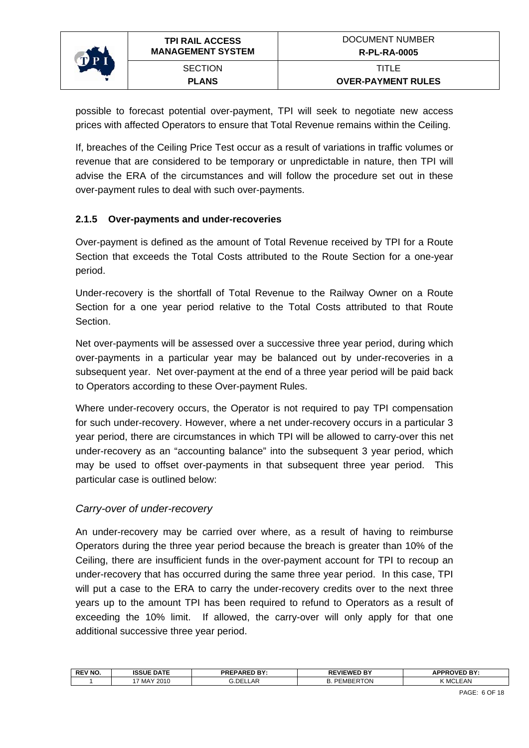<span id="page-5-0"></span>

possible to forecast potential over-payment, TPI will seek to negotiate new access prices with affected Operators to ensure that Total Revenue remains within the Ceiling.

If, breaches of the Ceiling Price Test occur as a result of variations in traffic volumes or revenue that are considered to be temporary or unpredictable in nature, then TPI will advise the ERA of the circumstances and will follow the procedure set out in these over-payment rules to deal with such over-payments.

#### **2.1.5 Over-payments and under-recoveries**

Over-payment is defined as the amount of Total Revenue received by TPI for a Route Section that exceeds the Total Costs attributed to the Route Section for a one-year period.

Under-recovery is the shortfall of Total Revenue to the Railway Owner on a Route Section for a one year period relative to the Total Costs attributed to that Route Section.

Net over-payments will be assessed over a successive three year period, during which over-payments in a particular year may be balanced out by under-recoveries in a subsequent year. Net over-payment at the end of a three year period will be paid back to Operators according to these Over-payment Rules.

Where under-recovery occurs, the Operator is not required to pay TPI compensation for such under-recovery. However, where a net under-recovery occurs in a particular 3 year period, there are circumstances in which TPI will be allowed to carry-over this net under-recovery as an "accounting balance" into the subsequent 3 year period, which may be used to offset over-payments in that subsequent three year period. This particular case is outlined below:

#### *Carry-over of under-recovery*

An under-recovery may be carried over where, as a result of having to reimburse Operators during the three year period because the breach is greater than 10% of the Ceiling, there are insufficient funds in the over-payment account for TPI to recoup an under-recovery that has occurred during the same three year period. In this case, TPI will put a case to the ERA to carry the under-recovery credits over to the next three years up to the amount TPI has been required to refund to Operators as a result of exceeding the 10% limit. If allowed, the carry-over will only apply for that one additional successive three year period.

|                                                                | APPPOVED BY- |
|----------------------------------------------------------------|--------------|
| .DE<br>cMBERTO'<br>_AF<br>'2010<br>. MAY<br>ER LON<br><u>.</u> | EAN<br>ĸл    |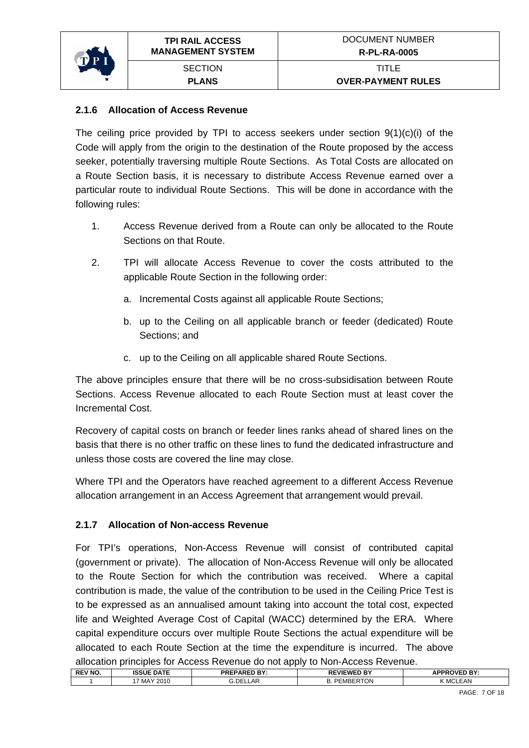<span id="page-6-0"></span>

#### **2.1.6 Allocation of Access Revenue**

The ceiling price provided by TPI to access seekers under section 9(1)(c)(i) of the Code will apply from the origin to the destination of the Route proposed by the access seeker, potentially traversing multiple Route Sections. As Total Costs are allocated on a Route Section basis, it is necessary to distribute Access Revenue earned over a particular route to individual Route Sections. This will be done in accordance with the following rules:

- 1. Access Revenue derived from a Route can only be allocated to the Route Sections on that Route.
- 2. TPI will allocate Access Revenue to cover the costs attributed to the applicable Route Section in the following order:
	- a. Incremental Costs against all applicable Route Sections;
	- b. up to the Ceiling on all applicable branch or feeder (dedicated) Route Sections; and
	- c. up to the Ceiling on all applicable shared Route Sections.

The above principles ensure that there will be no cross-subsidisation between Route Sections. Access Revenue allocated to each Route Section must at least cover the Incremental Cost.

Recovery of capital costs on branch or feeder lines ranks ahead of shared lines on the basis that there is no other traffic on these lines to fund the dedicated infrastructure and unless those costs are covered the line may close.

Where TPI and the Operators have reached agreement to a different Access Revenue allocation arrangement in an Access Agreement that arrangement would prevail.

#### **2.1.7 Allocation of Non-access Revenue**

For TPI's operations, Non-Access Revenue will consist of contributed capital (government or private). The allocation of Non-Access Revenue will only be allocated to the Route Section for which the contribution was received. Where a capital contribution is made, the value of the contribution to be used in the Ceiling Price Test is to be expressed as an annualised amount taking into account the total cost, expected life and Weighted Average Cost of Capital (WACC) determined by the ERA. Where capital expenditure occurs over multiple Route Sections the actual expenditure will be allocated to each Route Section at the time the expenditure is incurred. The above allocation principles for Access Revenue do not apply to Non-Access Revenue.

| _____          |                   |                     |                        |                     |
|----------------|-------------------|---------------------|------------------------|---------------------|
| <b>REV NO.</b> | <b>ISSUE DATE</b> | <b>PREPARED BY:</b> | <b>REVIEWED BY</b>     | <b>APPROVED BY:</b> |
|                | 17 MAY 2010       | <b>G.DELLAR</b>     | <b>PEMBERTON</b><br>D. | MCLEAN              |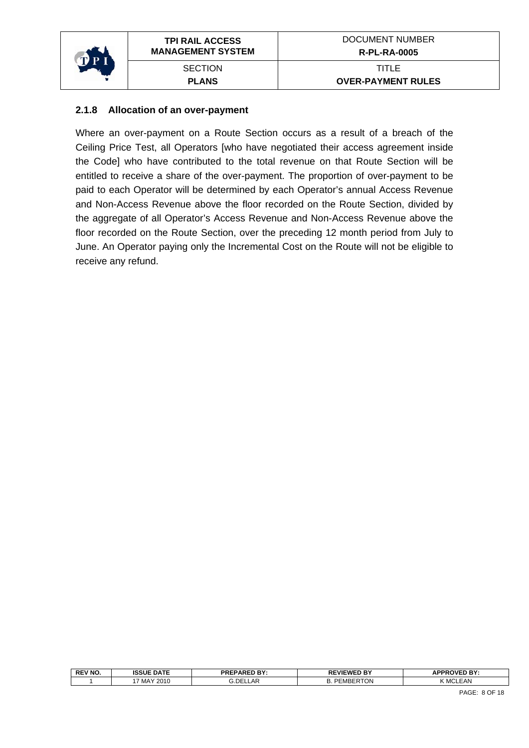<span id="page-7-0"></span>

#### **2.1.8 Allocation of an over-payment**

Where an over-payment on a Route Section occurs as a result of a breach of the Ceiling Price Test, all Operators [who have negotiated their access agreement inside the Code] who have contributed to the total revenue on that Route Section will be entitled to receive a share of the over-payment. The proportion of over-payment to be paid to each Operator will be determined by each Operator's annual Access Revenue and Non-Access Revenue above the floor recorded on the Route Section, divided by the aggregate of all Operator's Access Revenue and Non-Access Revenue above the floor recorded on the Route Section, over the preceding 12 month period from July to June. An Operator paying only the Incremental Cost on the Route will not be eligible to receive any refund.

| <b>REV NO.</b> | <b>ISSUE DATE</b> | <b>PREPARED BY:</b> | <b>REVIEWED BY</b>         | <b>APPROVED BY:</b> |
|----------------|-------------------|---------------------|----------------------------|---------------------|
|                | ' MAY 2010        | LAR.<br>a.DEL1      | `ERTON<br>-<br>:MBER<br>υ. | <b>K MCLEAN</b>     |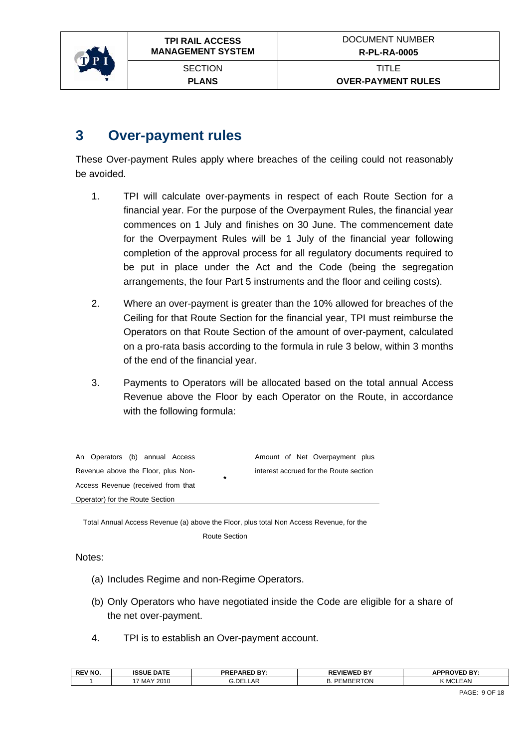<span id="page-8-0"></span>

## **3 Over-payment rules**

These Over-payment Rules apply where breaches of the ceiling could not reasonably be avoided.

- 1. TPI will calculate over-payments in respect of each Route Section for a financial year. For the purpose of the Overpayment Rules, the financial year commences on 1 July and finishes on 30 June. The commencement date for the Overpayment Rules will be 1 July of the financial year following completion of the approval process for all regulatory documents required to be put in place under the Act and the Code (being the segregation arrangements, the four Part 5 instruments and the floor and ceiling costs).
- 2. Where an over-payment is greater than the 10% allowed for breaches of the Ceiling for that Route Section for the financial year, TPI must reimburse the Operators on that Route Section of the amount of over-payment, calculated on a pro-rata basis according to the formula in rule 3 below, within 3 months of the end of the financial year.
- 3. Payments to Operators will be allocated based on the total annual Access Revenue above the Floor by each Operator on the Route, in accordance with the following formula:

| An Operators (b) annual Access                | Amount of Net Overpayment plus         |
|-----------------------------------------------|----------------------------------------|
| Revenue above the Floor, plus Non-<br>$\star$ | interest accrued for the Route section |
| Access Revenue (received from that            |                                        |
| Operator) for the Route Section               |                                        |

Total Annual Access Revenue (a) above the Floor, plus total Non Access Revenue, for the Route Section

Notes:

- (a) Includes Regime and non-Regime Operators.
- (b) Only Operators who have negotiated inside the Code are eligible for a share of the net over-payment.
- 4. TPI is to establish an Over-payment account.

| <b>REV NO</b> | <b>ISSUE DATE</b> | <b>PREPARED BY</b><br>$\sim$ $\sim$ . | <b>REVIEWED BY</b> | <b>APPROVED BY:</b> |
|---------------|-------------------|---------------------------------------|--------------------|---------------------|
|               | ' MAY 2010        | LAR<br>G.DELI                         | ר ⊓רי<br>DE<br>MBE | LEAN<br>K MCI       |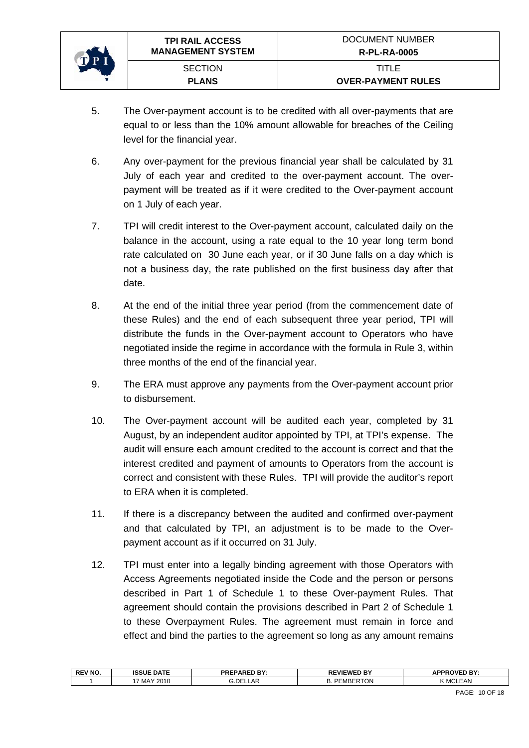

- 5. The Over-payment account is to be credited with all over-payments that are equal to or less than the 10% amount allowable for breaches of the Ceiling level for the financial year.
- 6. Any over-payment for the previous financial year shall be calculated by 31 July of each year and credited to the over-payment account. The overpayment will be treated as if it were credited to the Over-payment account on 1 July of each year.
- 7. TPI will credit interest to the Over-payment account, calculated daily on the balance in the account, using a rate equal to the 10 year long term bond rate calculated on 30 June each year, or if 30 June falls on a day which is not a business day, the rate published on the first business day after that date.
- 8. At the end of the initial three year period (from the commencement date of these Rules) and the end of each subsequent three year period, TPI will distribute the funds in the Over-payment account to Operators who have negotiated inside the regime in accordance with the formula in Rule 3, within three months of the end of the financial year.
- 9. The ERA must approve any payments from the Over-payment account prior to disbursement.
- 10. The Over-payment account will be audited each year, completed by 31 August, by an independent auditor appointed by TPI, at TPI's expense. The audit will ensure each amount credited to the account is correct and that the interest credited and payment of amounts to Operators from the account is correct and consistent with these Rules. TPI will provide the auditor's report to ERA when it is completed.
- 11. If there is a discrepancy between the audited and confirmed over-payment and that calculated by TPI, an adjustment is to be made to the Overpayment account as if it occurred on 31 July.
- 12. TPI must enter into a legally binding agreement with those Operators with Access Agreements negotiated inside the Code and the person or persons described in Part 1 of Schedule 1 to these Over-payment Rules. That agreement should contain the provisions described in Part 2 of Schedule 1 to these Overpayment Rules. The agreement must remain in force and effect and bind the parties to the agreement so long as any amount remains

| i.DE<br><b>EMBERTON</b><br><b>LEAN</b><br>_AF<br>MAY 2010<br>ĸл<br>◡. | <b>REV NO.</b> | <b>ISSUE DATE</b> | <b>PREPARED BY:</b> | <b>REVIEWED BY</b> | <b>APPROVED BY:</b> |
|-----------------------------------------------------------------------|----------------|-------------------|---------------------|--------------------|---------------------|
|                                                                       |                |                   |                     |                    |                     |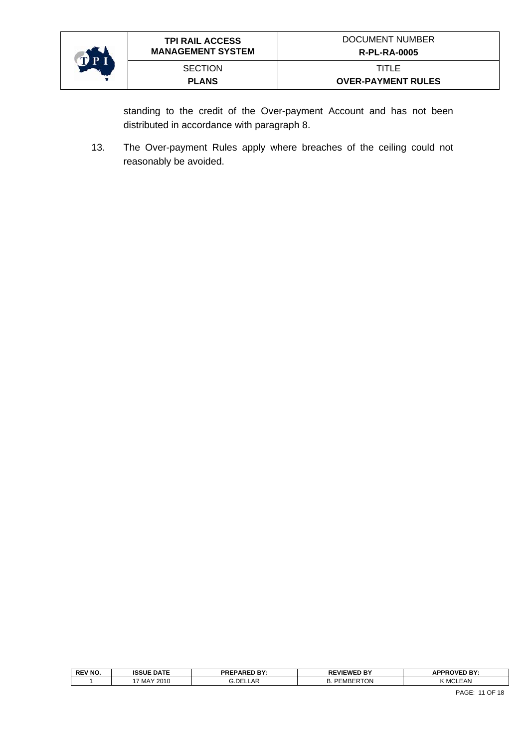

standing to the credit of the Over-payment Account and has not been distributed in accordance with paragraph 8.

13. The Over-payment Rules apply where breaches of the ceiling could not reasonably be avoided.

| <b>REV NO.</b> | <b>ISSUE DATE</b> | <b>PREPARED BY:</b><br>.                   | <b>REVIEWED BY</b> | <b>APPROVED BY:</b> |
|----------------|-------------------|--------------------------------------------|--------------------|---------------------|
|                | MAY 2010          | . DEI<br>$\sim$<br>$\mathbf{A}$<br>'LLLAI\ | :MBEF<br>UN<br>υ.  | <b>K MCLEAN</b>     |
|                |                   |                                            |                    |                     |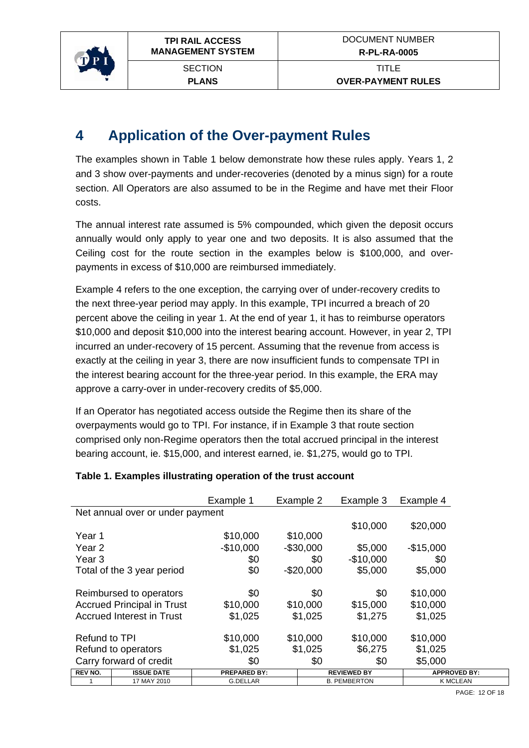<span id="page-11-0"></span>

**PLANS** 

## **4 Application of the Over-payment Rules**

The examples shown in Table 1 below demonstrate how these rules apply. Years 1, 2 and 3 show over-payments and under-recoveries (denoted by a minus sign) for a route section. All Operators are also assumed to be in the Regime and have met their Floor costs.

The annual interest rate assumed is 5% compounded, which given the deposit occurs annually would only apply to year one and two deposits. It is also assumed that the Ceiling cost for the route section in the examples below is \$100,000, and overpayments in excess of \$10,000 are reimbursed immediately.

Example 4 refers to the one exception, the carrying over of under-recovery credits to the next three-year period may apply. In this example, TPI incurred a breach of 20 percent above the ceiling in year 1. At the end of year 1, it has to reimburse operators \$10,000 and deposit \$10,000 into the interest bearing account. However, in year 2, TPI incurred an under-recovery of 15 percent. Assuming that the revenue from access is exactly at the ceiling in year 3, there are now insufficient funds to compensate TPI in the interest bearing account for the three-year period. In this example, the ERA may approve a carry-over in under-recovery credits of \$5,000.

If an Operator has negotiated access outside the Regime then its share of the overpayments would go to TPI. For instance, if in Example 3 that route section comprised only non-Regime operators then the total accrued principal in the interest bearing account, ie. \$15,000, and interest earned, ie. \$1,275, would go to TPI.

|                |                                   | Example 1           | Example 2  | Example 3           | Example 4  |                     |
|----------------|-----------------------------------|---------------------|------------|---------------------|------------|---------------------|
|                | Net annual over or under payment  |                     |            |                     |            |                     |
|                |                                   |                     |            | \$10,000            | \$20,000   |                     |
| Year 1         |                                   | \$10,000            | \$10,000   |                     |            |                     |
| Year 2         |                                   | $-$10,000$          | $-$30,000$ | \$5,000             | $-$15,000$ |                     |
| Year 3         |                                   | \$0                 | \$0        | $-$10,000$          | \$0        |                     |
|                | Total of the 3 year period        | \$0                 | $-$20,000$ | \$5,000             | \$5,000    |                     |
|                |                                   |                     |            |                     |            |                     |
|                | Reimbursed to operators           | \$0                 | \$0        | \$0                 | \$10,000   |                     |
|                | <b>Accrued Principal in Trust</b> | \$10,000            | \$10,000   | \$15,000            | \$10,000   |                     |
|                | <b>Accrued Interest in Trust</b>  | \$1,025             | \$1,025    | \$1,275             | \$1,025    |                     |
|                |                                   |                     |            |                     |            |                     |
| Refund to TPI  |                                   | \$10,000            | \$10,000   | \$10,000            | \$10,000   |                     |
|                | Refund to operators               | \$1,025             | \$1,025    | \$6,275             | \$1,025    |                     |
|                | Carry forward of credit           | \$0                 | \$0        | \$0                 | \$5,000    |                     |
| <b>REV NO.</b> | <b>ISSUE DATE</b>                 | <b>PREPARED BY:</b> |            | <b>REVIEWED BY</b>  |            | <b>APPROVED BY:</b> |
|                | 17 MAY 2010                       | <b>G.DELLAR</b>     |            | <b>B. PEMBERTON</b> |            | <b>K MCLEAN</b>     |

#### **Table 1. Examples illustrating operation of the trust account**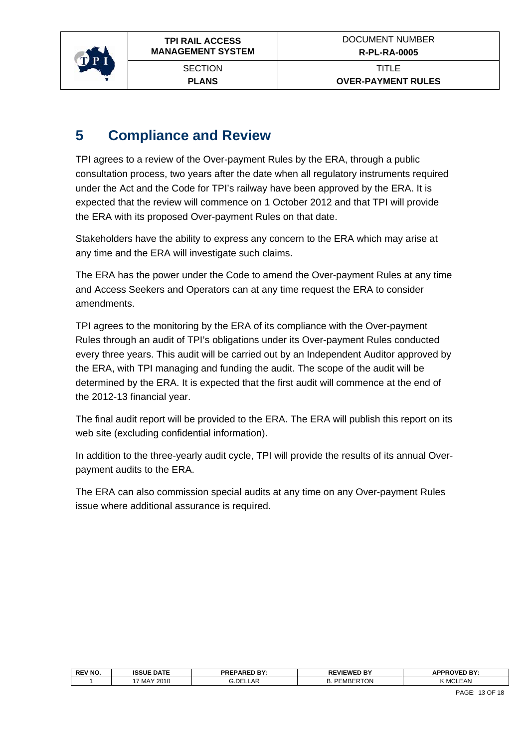<span id="page-12-0"></span>

**PLANS** 

## **5 Compliance and Review**

TPI agrees to a review of the Over-payment Rules by the ERA, through a public consultation process, two years after the date when all regulatory instruments required under the Act and the Code for TPI's railway have been approved by the ERA. It is expected that the review will commence on 1 October 2012 and that TPI will provide the ERA with its proposed Over-payment Rules on that date.

Stakeholders have the ability to express any concern to the ERA which may arise at any time and the ERA will investigate such claims.

The ERA has the power under the Code to amend the Over-payment Rules at any time and Access Seekers and Operators can at any time request the ERA to consider amendments.

TPI agrees to the monitoring by the ERA of its compliance with the Over-payment Rules through an audit of TPI's obligations under its Over-payment Rules conducted every three years. This audit will be carried out by an Independent Auditor approved by the ERA, with TPI managing and funding the audit. The scope of the audit will be determined by the ERA. It is expected that the first audit will commence at the end of the 2012-13 financial year.

The final audit report will be provided to the ERA. The ERA will publish this report on its web site (excluding confidential information).

In addition to the three-yearly audit cycle, TPI will provide the results of its annual Overpayment audits to the ERA.

The ERA can also commission special audits at any time on any Over-payment Rules issue where additional assurance is required.

| <b>REV NO</b> | <b>ISSUE DATE</b> | <b>PREPARED BY:</b><br>ום ' | D BY<br><b>REVIEWEI</b>       | <b>OVED BY.</b><br>.<br>- |
|---------------|-------------------|-----------------------------|-------------------------------|---------------------------|
|               | MAY 2010          | ∟AR<br>.DEI                 | –~<br>-<br>MRER<br>RTON<br>υ. | $ -$<br>.AN<br><b>IVI</b> |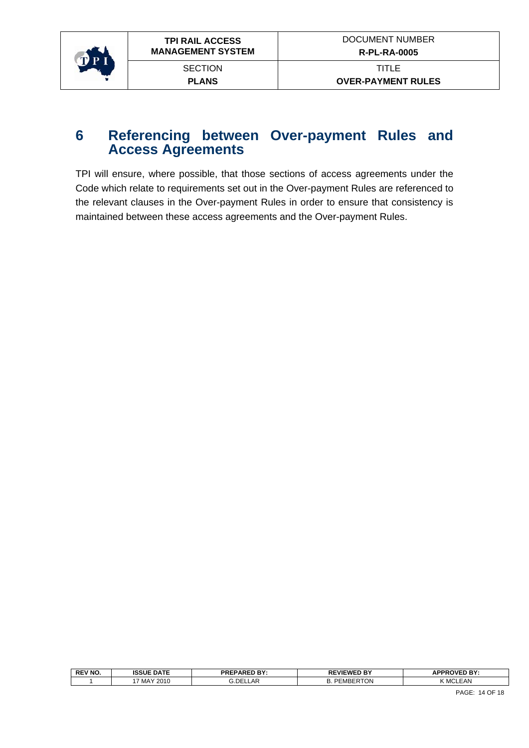<span id="page-13-0"></span>

### **6 Referencing between Over-payment Rules and Access Agreements**

TPI will ensure, where possible, that those sections of access agreements under the Code which relate to requirements set out in the Over-payment Rules are referenced to the relevant clauses in the Over-payment Rules in order to ensure that consistency is maintained between these access agreements and the Over-payment Rules.

| (MCI | <b>REV NO.</b> | <b>ISSUE DATE</b> | <b>PREPARED BY:</b> | <b>REVIEWED BY</b>                | <b>APPROVED BY:</b> |
|------|----------------|-------------------|---------------------|-----------------------------------|---------------------|
|      |                | MAY 2010          | 3.DEI<br>LLAR       | <sup>6</sup> TON<br><b>PEMBER</b> | <b>EAN</b>          |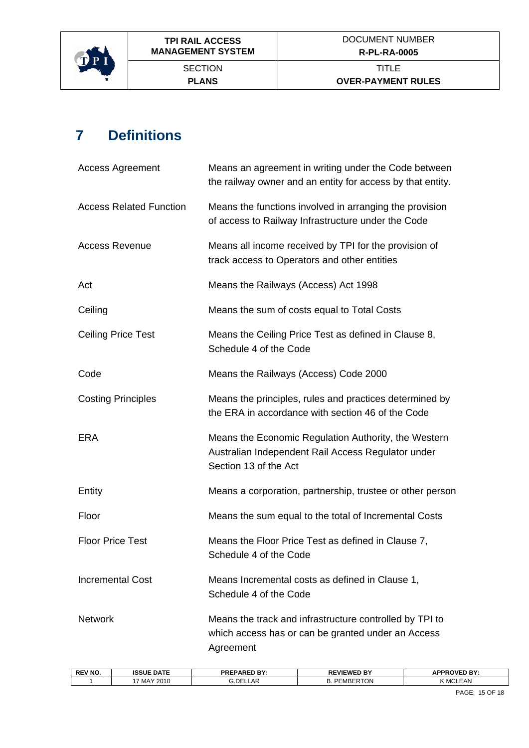<span id="page-14-0"></span>

# **7 Definitions**

| <b>Access Agreement</b>        | Means an agreement in writing under the Code between<br>the railway owner and an entity for access by that entity.                  |  |  |
|--------------------------------|-------------------------------------------------------------------------------------------------------------------------------------|--|--|
| <b>Access Related Function</b> | Means the functions involved in arranging the provision<br>of access to Railway Infrastructure under the Code                       |  |  |
| <b>Access Revenue</b>          | Means all income received by TPI for the provision of<br>track access to Operators and other entities                               |  |  |
| Act                            | Means the Railways (Access) Act 1998                                                                                                |  |  |
| Ceiling                        | Means the sum of costs equal to Total Costs                                                                                         |  |  |
| <b>Ceiling Price Test</b>      | Means the Ceiling Price Test as defined in Clause 8,<br>Schedule 4 of the Code                                                      |  |  |
| Code                           | Means the Railways (Access) Code 2000                                                                                               |  |  |
| <b>Costing Principles</b>      | Means the principles, rules and practices determined by<br>the ERA in accordance with section 46 of the Code                        |  |  |
| <b>ERA</b>                     | Means the Economic Regulation Authority, the Western<br>Australian Independent Rail Access Regulator under<br>Section 13 of the Act |  |  |
| Entity                         | Means a corporation, partnership, trustee or other person                                                                           |  |  |
| Floor                          | Means the sum equal to the total of Incremental Costs                                                                               |  |  |
| <b>Floor Price Test</b>        | Means the Floor Price Test as defined in Clause 7,<br>Schedule 4 of the Code                                                        |  |  |
| <b>Incremental Cost</b>        | Means Incremental costs as defined in Clause 1,<br>Schedule 4 of the Code                                                           |  |  |
| <b>Network</b>                 | Means the track and infrastructure controlled by TPI to<br>which access has or can be granted under an Access<br>Agreement          |  |  |

| <b>REV NO.</b> | <b>ISSUE DATE</b> | DOCDADED DV.<br>รเร⊾<br>. ו סי<br>- | <b>LVIEWED BY</b><br>ᇛ           | <b>OVED BY:</b><br><b>DDD</b><br>71    |
|----------------|-------------------|-------------------------------------|----------------------------------|----------------------------------------|
|                | 2010<br>MAY       | DEI.<br>∟AR<br>                     | <b>RTON</b><br>РF<br><b>MBFF</b> | ız i<br><b>EAN</b><br>. M <sup>o</sup> |
|                |                   |                                     |                                  |                                        |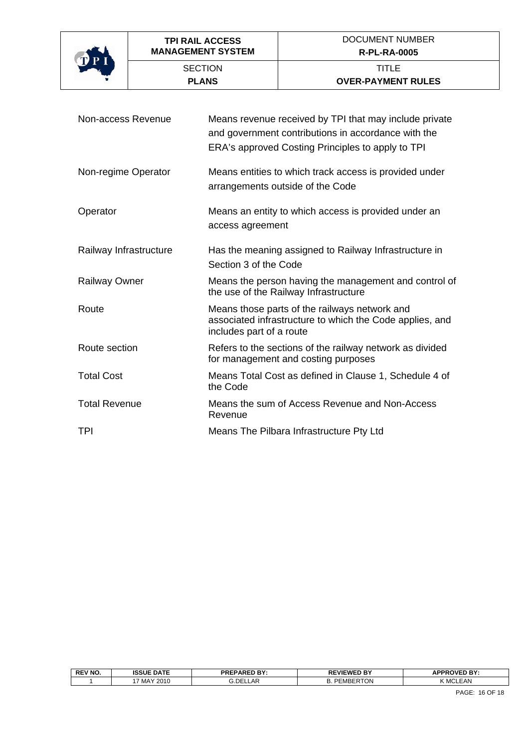

| Non-access Revenue     | Means revenue received by TPI that may include private<br>and government contributions in accordance with the<br>ERA's approved Costing Principles to apply to TPI |  |  |
|------------------------|--------------------------------------------------------------------------------------------------------------------------------------------------------------------|--|--|
| Non-regime Operator    | Means entities to which track access is provided under<br>arrangements outside of the Code                                                                         |  |  |
| Operator               | Means an entity to which access is provided under an<br>access agreement                                                                                           |  |  |
| Railway Infrastructure | Has the meaning assigned to Railway Infrastructure in<br>Section 3 of the Code                                                                                     |  |  |
| <b>Railway Owner</b>   | Means the person having the management and control of<br>the use of the Railway Infrastructure                                                                     |  |  |
| Route                  | Means those parts of the railways network and<br>associated infrastructure to which the Code applies, and<br>includes part of a route                              |  |  |
| Route section          | Refers to the sections of the railway network as divided<br>for management and costing purposes                                                                    |  |  |
| <b>Total Cost</b>      | Means Total Cost as defined in Clause 1, Schedule 4 of<br>the Code                                                                                                 |  |  |
| <b>Total Revenue</b>   | Means the sum of Access Revenue and Non-Access<br>Revenue                                                                                                          |  |  |
| <b>TPI</b>             | Means The Pilbara Infrastructure Pty Ltd                                                                                                                           |  |  |

| <b>REV NO.</b> | <b>ISSUE DATE</b> | <b>PREPARED BY:</b><br>. | <b>REVIEWED BY</b><br>ט ש              | <b>IPPROVED BY:</b><br>1 L<br>ы.<br>гu |
|----------------|-------------------|--------------------------|----------------------------------------|----------------------------------------|
|                | MAY 2010          | ∟AP.<br>DE'              | $-0.1$<br>∍⊏⊳<br>.ON.<br>.<br><u>.</u> | $ -$<br>$\sim$<br>.AN<br>IVII.         |
|                |                   |                          |                                        |                                        |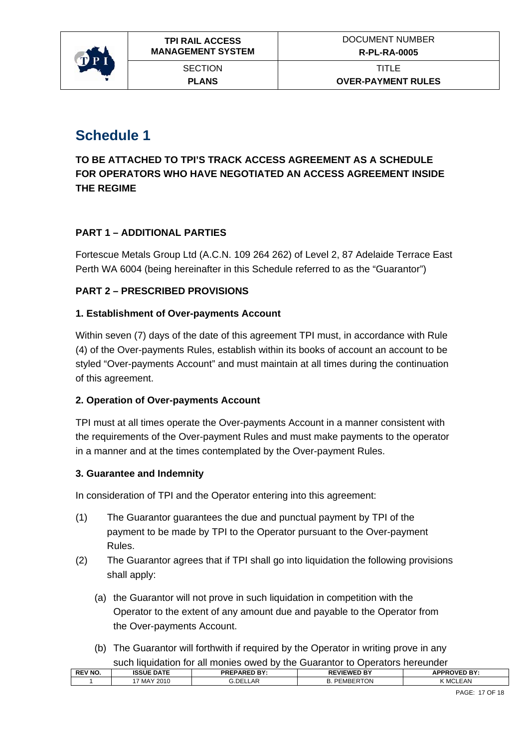<span id="page-16-0"></span>

## **Schedule 1**

**TO BE ATTACHED TO TPI'S TRACK ACCESS AGREEMENT AS A SCHEDULE FOR OPERATORS WHO HAVE NEGOTIATED AN ACCESS AGREEMENT INSIDE THE REGIME** 

#### **PART 1 – ADDITIONAL PARTIES**

Fortescue Metals Group Ltd (A.C.N. 109 264 262) of Level 2, 87 Adelaide Terrace East Perth WA 6004 (being hereinafter in this Schedule referred to as the "Guarantor")

#### **PART 2 – PRESCRIBED PROVISIONS**

#### **1. Establishment of Over-payments Account**

Within seven (7) days of the date of this agreement TPI must, in accordance with Rule (4) of the Over-payments Rules, establish within its books of account an account to be styled "Over-payments Account" and must maintain at all times during the continuation of this agreement.

#### **2. Operation of Over-payments Account**

TPI must at all times operate the Over-payments Account in a manner consistent with the requirements of the Over-payment Rules and must make payments to the operator in a manner and at the times contemplated by the Over-payment Rules.

#### **3. Guarantee and Indemnity**

In consideration of TPI and the Operator entering into this agreement:

- (1) The Guarantor guarantees the due and punctual payment by TPI of the payment to be made by TPI to the Operator pursuant to the Over-payment Rules.
- (2) The Guarantor agrees that if TPI shall go into liquidation the following provisions shall apply:
	- (a) the Guarantor will not prove in such liquidation in competition with the Operator to the extent of any amount due and payable to the Operator from the Over-payments Account.
	- (b) The Guarantor will forthwith if required by the Operator in writing prove in any such liquidation for all monies owed by the Guarantor to Operators hereunder

|                | <u>Such inquidation for all filohics owed by the Ouarantor to Operators heredrigen</u> |                     |                     |                     |  |
|----------------|----------------------------------------------------------------------------------------|---------------------|---------------------|---------------------|--|
| <b>REV NO.</b> | <b>ISSUE DATE</b>                                                                      | <b>PREPARED BY:</b> | <b>REVIEWED BY</b>  | <b>APPROVED BY:</b> |  |
|                | 7 MAY 2010                                                                             | G.DELLAR            | <b>B. PEMBERTON</b> | K MCLEAN            |  |